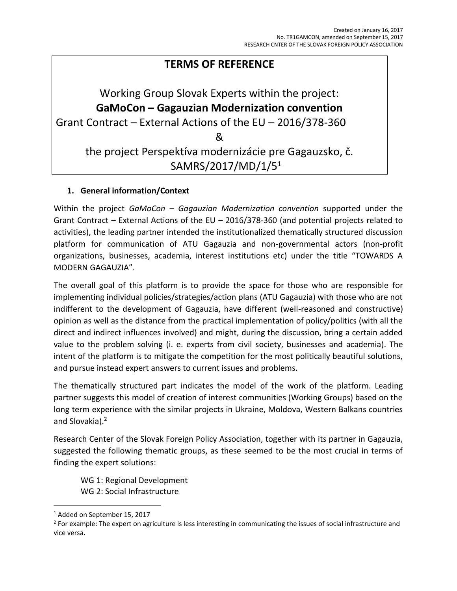# **TERMS OF REFERENCE**

# Working Group Slovak Experts within the project: **GaMoCon – Gagauzian Modernization convention** Grant Contract – External Actions of the EU – 2016/378-360 & the project Perspektíva modernizácie pre Gagauzsko, č. SAMRS/2017/MD/1/5<sup>1</sup>

# **1. General information/Context**

Within the project *GaMoCon – Gagauzian Modernization convention* supported under the Grant Contract – External Actions of the EU – 2016/378-360 (and potential projects related to activities), the leading partner intended the institutionalized thematically structured discussion platform for communication of ATU Gagauzia and non-governmental actors (non-profit organizations, businesses, academia, interest institutions etc) under the title "TOWARDS A MODERN GAGAUZIA".

The overall goal of this platform is to provide the space for those who are responsible for implementing individual policies/strategies/action plans (ATU Gagauzia) with those who are not indifferent to the development of Gagauzia, have different (well-reasoned and constructive) opinion as well as the distance from the practical implementation of policy/politics (with all the direct and indirect influences involved) and might, during the discussion, bring a certain added value to the problem solving (i. e. experts from civil society, businesses and academia). The intent of the platform is to mitigate the competition for the most politically beautiful solutions, and pursue instead expert answers to current issues and problems.

The thematically structured part indicates the model of the work of the platform. Leading partner suggests this model of creation of interest communities (Working Groups) based on the long term experience with the similar projects in Ukraine, Moldova, Western Balkans countries and Slovakia).<sup>2</sup>

Research Center of the Slovak Foreign Policy Association, together with its partner in Gagauzia, suggested the following thematic groups, as these seemed to be the most crucial in terms of finding the expert solutions:

WG 1: Regional Development WG 2: Social Infrastructure

 $\overline{\phantom{a}}$ <sup>1</sup> Added on September 15, 2017

<sup>&</sup>lt;sup>2</sup> For example: The expert on agriculture is less interesting in communicating the issues of social infrastructure and vice versa.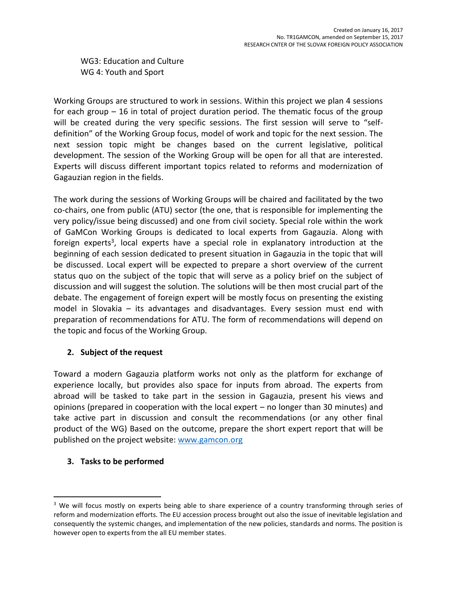WG3: Education and Culture WG 4: Youth and Sport

Working Groups are structured to work in sessions. Within this project we plan 4 sessions for each group – 16 in total of project duration period. The thematic focus of the group will be created during the very specific sessions. The first session will serve to "selfdefinition" of the Working Group focus, model of work and topic for the next session. The next session topic might be changes based on the current legislative, political development. The session of the Working Group will be open for all that are interested. Experts will discuss different important topics related to reforms and modernization of Gagauzian region in the fields.

The work during the sessions of Working Groups will be chaired and facilitated by the two co-chairs, one from public (ATU) sector (the one, that is responsible for implementing the very policy/issue being discussed) and one from civil society. Special role within the work of GaMCon Working Groups is dedicated to local experts from Gagauzia. Along with foreign experts<sup>3</sup>, local experts have a special role in explanatory introduction at the beginning of each session dedicated to present situation in Gagauzia in the topic that will be discussed. Local expert will be expected to prepare a short overview of the current status quo on the subject of the topic that will serve as a policy brief on the subject of discussion and will suggest the solution. The solutions will be then most crucial part of the debate. The engagement of foreign expert will be mostly focus on presenting the existing model in Slovakia – its advantages and disadvantages. Every session must end with preparation of recommendations for ATU. The form of recommendations will depend on the topic and focus of the Working Group.

# **2. Subject of the request**

Toward a modern Gagauzia platform works not only as the platform for exchange of experience locally, but provides also space for inputs from abroad. The experts from abroad will be tasked to take part in the session in Gagauzia, present his views and opinions (prepared in cooperation with the local expert – no longer than 30 minutes) and take active part in discussion and consult the recommendations (or any other final product of the WG) Based on the outcome, prepare the short expert report that will be published on the project website: [www.gamcon.org](http://www.gamcon.org/)

#### **3. Tasks to be performed**

 $\overline{a}$ 

<sup>&</sup>lt;sup>3</sup> We will focus mostly on experts being able to share experience of a country transforming through series of reform and modernization efforts. The EU accession process brought out also the issue of inevitable legislation and consequently the systemic changes, and implementation of the new policies, standards and norms. The position is however open to experts from the all EU member states.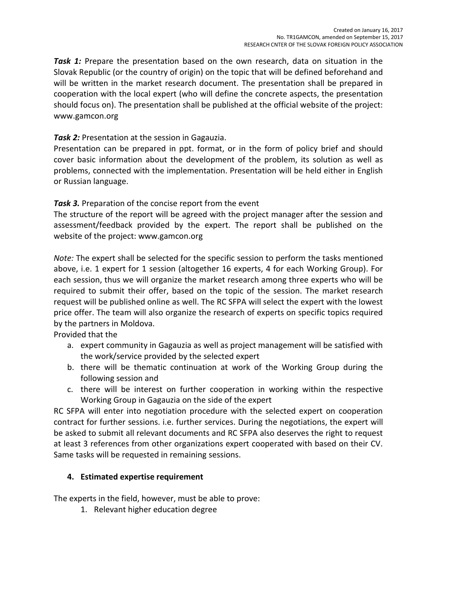**Task 1:** Prepare the presentation based on the own research, data on situation in the Slovak Republic (or the country of origin) on the topic that will be defined beforehand and will be written in the market research document. The presentation shall be prepared in cooperation with the local expert (who will define the concrete aspects, the presentation should focus on). The presentation shall be published at the official website of the project: www.gamcon.org

# **Task 2:** Presentation at the session in Gagauzia.

Presentation can be prepared in ppt. format, or in the form of policy brief and should cover basic information about the development of the problem, its solution as well as problems, connected with the implementation. Presentation will be held either in English or Russian language.

# *Task 3.* Preparation of the concise report from the event

The structure of the report will be agreed with the project manager after the session and assessment/feedback provided by the expert. The report shall be published on the website of the project: www.gamcon.org

*Note:* The expert shall be selected for the specific session to perform the tasks mentioned above, i.e. 1 expert for 1 session (altogether 16 experts, 4 for each Working Group). For each session, thus we will organize the market research among three experts who will be required to submit their offer, based on the topic of the session. The market research request will be published online as well. The RC SFPA will select the expert with the lowest price offer. The team will also organize the research of experts on specific topics required by the partners in Moldova.

Provided that the

- a. expert community in Gagauzia as well as project management will be satisfied with the work/service provided by the selected expert
- b. there will be thematic continuation at work of the Working Group during the following session and
- c. there will be interest on further cooperation in working within the respective Working Group in Gagauzia on the side of the expert

RC SFPA will enter into negotiation procedure with the selected expert on cooperation contract for further sessions. i.e. further services. During the negotiations, the expert will be asked to submit all relevant documents and RC SFPA also deserves the right to request at least 3 references from other organizations expert cooperated with based on their CV. Same tasks will be requested in remaining sessions.

# **4. Estimated expertise requirement**

The experts in the field, however, must be able to prove:

1. Relevant higher education degree